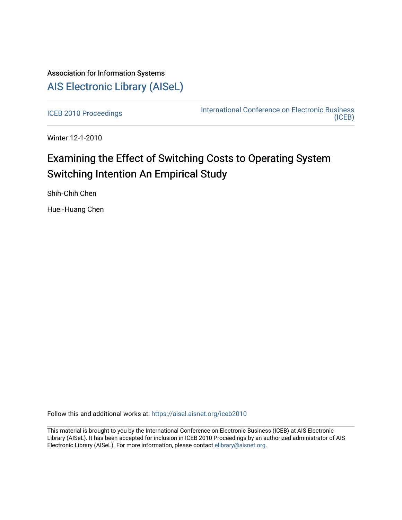## Association for Information Systems [AIS Electronic Library \(AISeL\)](https://aisel.aisnet.org/)

[ICEB 2010 Proceedings](https://aisel.aisnet.org/iceb2010) **International Conference on Electronic Business** [\(ICEB\)](https://aisel.aisnet.org/iceb) 

Winter 12-1-2010

# Examining the Effect of Switching Costs to Operating System Switching Intention An Empirical Study

Shih‐Chih Chen

Huei‐Huang Chen

Follow this and additional works at: [https://aisel.aisnet.org/iceb2010](https://aisel.aisnet.org/iceb2010?utm_source=aisel.aisnet.org%2Ficeb2010%2F7&utm_medium=PDF&utm_campaign=PDFCoverPages)

This material is brought to you by the International Conference on Electronic Business (ICEB) at AIS Electronic Library (AISeL). It has been accepted for inclusion in ICEB 2010 Proceedings by an authorized administrator of AIS Electronic Library (AISeL). For more information, please contact [elibrary@aisnet.org.](mailto:elibrary@aisnet.org%3E)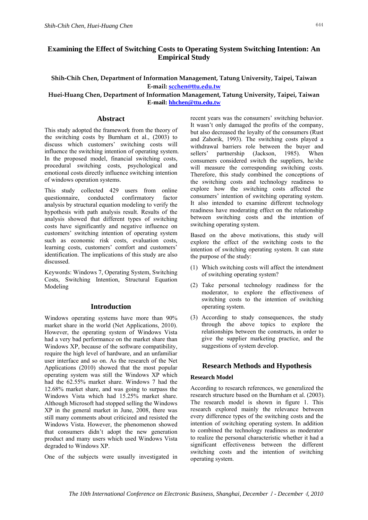## **Examining the Effect of Switching Costs to Operating System Switching Intention: An Empirical Study**

## **Shih‐Chih Chen, Department of Information Management, Tatung University, Taipei, Taiwan E‐mail: [scchen@ttu.edu.tw](mailto:scchen@ttu.edu.tw)**

## **Huei‐Huang Chen, Department of Information Management, Tatung University, Taipei, Taiwan E-mail: [hhchen@ttu.edu.tw](mailto:hhchen@ttu.edu.tw)**

## **Abstract**

This study adopted the framework from the theory of the switching costs by Burnham et al., (2003) to discuss which customers' switching costs will influence the switching intention of operating system. In the proposed model, financial switching costs, procedural switching costs, psychological and emotional costs directly influence switching intention of windows operation systems.

This study collected 429 users from online questionnaire, conducted confirmatory factor analysis by structural equation modeling to verify the hypothesis with path analysis result. Results of the analysis showed that different types of switching costs have significantly and negative influence on customers' switching intention of operating system such as economic risk costs, evaluation costs, learning costs, customers' comfort and customers' identification. The implications of this study are also discussed.

Keywords: Windows 7, Operating System, Switching Costs, Switching Intention, Structural Equation Modeling

## **Introduction**

Windows operating systems have more than 90% market share in the world (Net Applications, 2010). However, the operating system of Windows Vista had a very bad performance on the market share than Windows XP, because of the software compatibility, require the high level of hardware, and an unfamiliar user interface and so on. As the research of the Net Applications (2010) showed that the most popular operating system was still the Windows XP which had the 62.55% market share. Windows 7 had the 12.68% market share, and was going to surpass the Windows Vista which had 15.25% market share. Although Microsoft had stopped selling the Windows XP in the general market in June, 2008, there was still many comments about criticized and resisted the Windows Vista. However, the phenomenon showed that consumers didn't adopt the new generation product and many users which used Windows Vista degraded to Windows XP.

One of the subjects were usually investigated in

recent years was the consumers' switching behavior. It wasn't only damaged the profits of the company, but also decreased the loyalty of the consumers (Rust and Zahorik, 1993). The switching costs played a withdrawal barriers role between the buyer and sellers' partnership (Jackson, 1985). When consumers considered switch the suppliers, he/she will measure the corresponding switching costs. Therefore, this study combined the conceptions of the switching costs and technology readiness to explore how the switching costs affected the consumers' intention of switching operating system. It also intended to examine different technology readiness have moderating effect on the relationship between switching costs and the intention of switching operating system.

Based on the above motivations, this study will explore the effect of the switching costs to the intention of switching operating system. It can state the purpose of the study:

- (1) Which switching costs will affect the intendment of switching operating system?
- (2) Take personal technology readiness for the moderator, to explore the effectiveness of switching costs to the intention of switching operating system.
- (3) According to study consequences, the study through the above topics to explore the relationships between the constructs, in order to give the supplier marketing practice, and the suggestions of system develop.

## **Research Methods and Hypothesis**

## **Research Model**

According to research references, we generalized the research structure based on the Burnham et al. (2003). The research model is shown in figure 1. This research explored mainly the relevance between every difference types of the switching costs and the intention of switching operating system. In addition to combined the technology readiness as moderator to realize the personal characteristic whether it had a significant effectiveness between the different switching costs and the intention of switching operating system.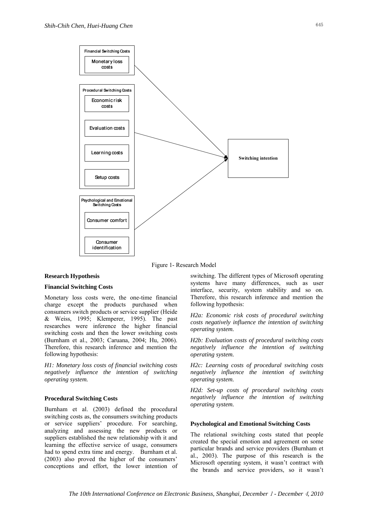

Figure 1- Research Model

#### **Research Hypothesis**

## **Financial Switching Costs**

Monetary loss costs were, the one-time financial charge except the products purchased when consumers switch products or service supplier (Heide & Weiss, 1995; Klemperer, 1995). The past researches were inference the higher financial switching costs and then the lower switching costs (Burnham et al., 2003; Caruana, 2004; Hu, 2006). Therefore, this research inference and mention the following hypothesis:

*H1: Monetary loss costs of financial switching costs negatively influence the intention of switching operating system.* 

#### **Procedural Switching Costs**

Burnham et al. (2003) defined the procedural switching costs as, the consumers switching products or service suppliers' procedure. For searching, analyzing and assessing the new products or suppliers established the new relationship with it and learning the effective service of usage, consumers had to spend extra time and energy. Burnham et al. (2003) also proved the higher of the consumers' conceptions and effort, the lower intention of switching. The different types of Microsoft operating systems have many differences, such as user interface, security, system stability and so on. Therefore, this research inference and mention the following hypothesis:

*H2a: Economic risk costs of procedural switching costs negatively influence the intention of switching operating system.* 

*H2b: Evaluation costs of procedural switching costs negatively influence the intention of switching operating system.* 

*H2c: Learning costs of procedural switching costs negatively influence the intention of switching operating system.* 

*H2d: Set-up costs of procedural switching costs negatively influence the intention of switching operating system.* 

## **Psychological and Emotional Switching Costs**

The relational switching costs stated that people created the special emotion and agreement on some particular brands and service providers (Burnham et al., 2003). The purpose of this research is the Microsoft operating system, it wasn't contract with the brands and service providers, so it wasn't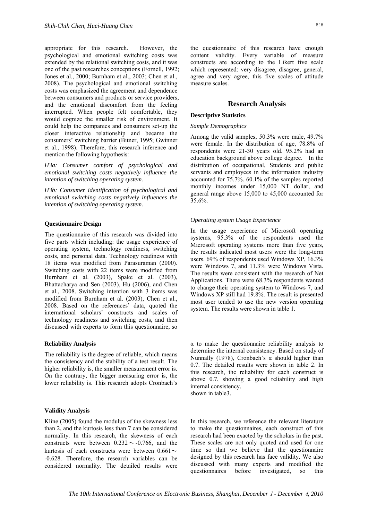appropriate for this research. However, the psychological and emotional switching costs was extended by the relational switching costs, and it was one of the past researches conceptions (Fornell, 1992; Jones et al., 2000; Burnham et al., 2003; Chen et al., 2008). The psychological and emotional switching costs was emphasized the agreement and dependence between consumers and products or service providers, and the emotional discomfort from the feeling interrupted. When people felt comfortable, they would cognize the smaller risk of environment. It could help the companies and consumers set-up the closer interactive relationship and became the consumers' switching barrier (Bitner, 1995; Gwinner et al., 1998). Therefore, this research inference and mention the following hypothesis:

*H3a: Consumer comfort of psychological and emotional switching costs negatively influence the intention of switching operating system.* 

*H3b: Consumer identification of psychological and emotional switching costs negatively influences the intention of switching operating system.* 

#### **Questionnaire Design**

The questionnaire of this research was divided into five parts which including: the usage experience of operating system, technology readiness, switching costs, and personal data. Technology readiness with 18 items was modified from Parasuraman (2000). Switching costs with 22 items were modified from Burnham et al. (2003), Spake et al. (2003), Bhattacharya and Sen (2003), Hu (2006), and Chen et al., 2008. Switching intention with 3 items was modified from Burnham et al. (2003), Chen et al., 2008. Based on the references' data, quoted the international scholars' constructs and scales of technology readiness and switching costs, and then discussed with experts to form this questionnaire, so

#### **Reliability Analysis**

The reliability is the degree of reliable, which means the consistency and the stability of a test result. The higher reliability is, the smaller measurement error is. On the contrary, the bigger measuring error is, the lower reliability is. This research adopts Cronbach's

#### **Validity Analysis**

Kline (2005) found the modulus of the skewness less than 2, and the kurtosis less than 7 can be considered normality. In this research, the skewness of each constructs were between  $0.232 \sim -0.766$ , and the kurtosis of each constructs were between  $0.661 \sim$ -0.628. Therefore, the research variables can be considered normality. The detailed results were

the questionnaire of this research have enough content validity. Every variable of measure constructs are according to the Likert five scale which represented: very disagree, disagree, general, agree and very agree, this five scales of attitude measure scales.

#### **Research Analysis**

#### **Descriptive Statistics**

#### *Sample Demographics*

Among the valid samples, 50.3% were male, 49.7% were female. In the distribution of age, 78.8% of respondents were 21-30 years old. 95.2% had an education background above college degree. In the distribution of occupational, Students and public servants and employees in the information industry accounted for 75.7%. 60.1% of the samples reported monthly incomes under 15,000 NT dollar, and general range above 15,000 to 45,000 accounted for 35.6%.

#### *Operating system Usage Experience*

In the usage experience of Microsoft operating systems, 95.3% of the respondents used the Microsoft operating systems more than five years, the results indicated most users were the long-term users. 69% of respondents used Windows XP, 16.3% were Windows 7, and 11.3% were Windows Vista. The results were consistent with the research of Net Applications. There were 68.3% respondents wanted to change their operating system to Windows 7, and Windows XP still had 19.8%. The result is presented most user tended to use the new version operating system. The results were shown in table 1.

 $\alpha$  to make the questionnaire reliability analysis to determine the internal consistency. Based on study of Nunnally (1978), Cronbach's  $\alpha$  should higher than 0.7. The detailed results were shown in table 2. In this research, the reliability for each construct is above 0.7, showing a good reliability and high internal consistency.

shown in table3.

In this research, we reference the relevant literature to make the questionnaires, each construct of this research had been exacted by the scholars in the past. These scales are not only quoted and used for one time so that we believe that the questionnaire designed by this research has face validity. We also discussed with many experts and modified the questionnaires before investigated, so this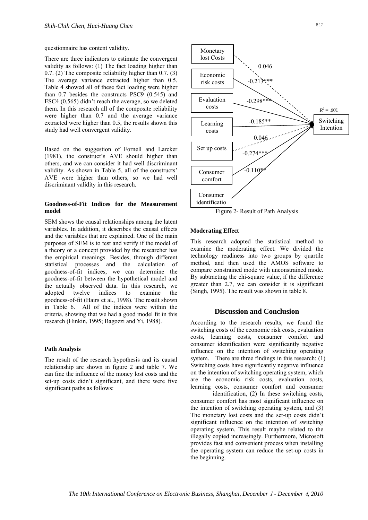questionnaire has content validity. Monetary

There are three indicators to estimate the convergent lost Costs validity as follows: (1) The fact loading higher than 0.7. (2) The composite reliability higher than 0.7. (3) The average variance extracted higher than 0.5. Table 4 showed all of these fact loading were higher than 0.7 besides the constructs PSC9 (0.545) and ESC4 (0.565) didn't reach the average, so we deleted them. In this research all of the composite reliability were higher than 0.7 and the average variance extracted were higher than 0.5, the results shown this study had well convergent validity.

Based on the suggestion of Fornell and Larcker (1981), the construct's AVE should higher than others, and we can consider it had well discriminant validity. As shown in Table 5, all of the constructs' AVE were higher than others, so we had well discriminant validity in this research.

#### **Goodness-of-Fit Indices for the Measurement model**

SEM shows the causal relationships among the latent variables. In addition, it describes the causal effects and the variables that are explained. One of the main purposes of SEM is to test and verify if the model of a theory or a concept provided by the researcher has the empirical meanings. Besides, through different statistical processes and the calculation of goodness-of-fit indices, we can determine the goodness-of-fit between the hypothetical model and the actually observed data. In this research, we adopted twelve indices to examine the goodness-of-fit (Hairs et al., 1998). The result shown in Table 6. All of the indices were within the criteria, showing that we had a good model fit in this research (Hinkin, 1995; Bagozzi and Yi, 1988).

#### **Path Analysis**

The result of the research hypothesis and its causal relationship are shown in figure 2 and table 7. We can fine the influence of the money lost costs and the set-up costs didn't significant, and there were five significant paths as follows:



#### **Moderating Effect**

This research adopted the statistical method to examine the moderating effect. We divided the technology readiness into two groups by quartile method, and then used the AMOS software to compare constrained mode with unconstrained mode. By subtracting the chi-square value, if the difference greater than 2.7, we can consider it is significant (Singh, 1995). The result was shown in table 8.

## **Discussion and Conclusion**

According to the research results, we found the switching costs of the economic risk costs, evaluation costs, learning costs, consumer comfort and consumer identification were significantly negative influence on the intention of switching operating system. There are three findings in this research: (1) Switching costs have significantly negative influence on the intention of switching operating system, which are the economic risk costs, evaluation costs, learning costs, consumer comfort and consumer

 identification, (2) In these switching costs, consumer comfort has most significant influence on the intention of switching operating system, and (3) The monetary lost costs and the set-up costs didn't significant influence on the intention of switching operating system. This result maybe related to the illegally copied increasingly. Furthermore, Microsoft provides fast and convenient process when installing the operating system can reduce the set-up costs in the beginning.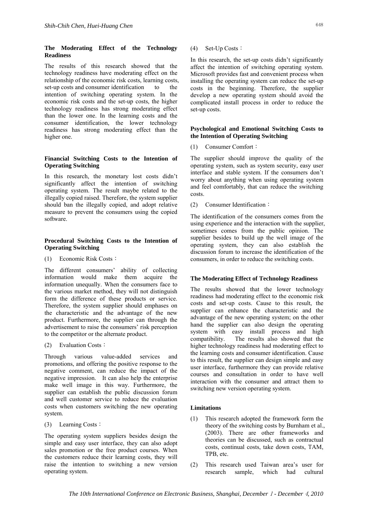## **The Moderating Effect of the Technology Readiness**

The results of this research showed that the technology readiness have moderating effect on the relationship of the economic risk costs, learning costs, set-up costs and consumer identification to the intention of switching operating system. In the economic risk costs and the set-up costs, the higher technology readiness has strong moderating effect than the lower one. In the learning costs and the consumer identification, the lower technology readiness has strong moderating effect than the higher one.

## **Financial Switching Costs to the Intention of Operating Switching**

In this research, the monetary lost costs didn't significantly affect the intention of switching operating system. The result maybe related to the illegally copied raised. Therefore, the system supplier should ban the illegally copied, and adopt relative measure to prevent the consumers using the copied software.

#### **Procedural Switching Costs to the Intention of Operating Switching**

(1) Economic Risk Costs:

The different consumers' ability of collecting information would make them acquire the information unequally. When the consumers face to the various market method, they will not distinguish form the difference of these products or service. Therefore, the system supplier should emphases on the characteristic and the advantage of the new product. Furthermore, the supplier can through the advertisement to raise the consumers' risk perception to the competitor or the alternate product.

(2) Evaluation Costs:

Through various value-added services and promotions, and offering the positive response to the negative comment, can reduce the impact of the negative impression. It can also help the enterprise make well image in this way. Furthermore, the supplier can establish the public discussion forum and well customer service to reduce the evaluation costs when customers switching the new operating system.

(3) Learning Costs:

The operating system suppliers besides design the simple and easy user interface, they can also adopt sales promotion or the free product courses. When the customers reduce their learning costs, they will raise the intention to switching a new version operating system.

#### (4) Set-Up Costs:

In this research, the set-up costs didn't significantly affect the intention of switching operating system. Microsoft provides fast and convenient process when installing the operating system can reduce the set-up costs in the beginning. Therefore, the supplier develop a new operating system should avoid the complicated install process in order to reduce the set-up costs.

#### **Psychological and Emotional Switching Costs to the Intention of Operating Switching**

(1) Consumer Comfort:

The supplier should improve the quality of the operating system, such as system security, easy user interface and stable system. If the consumers don't worry about anything when using operating system and feel comfortably, that can reduce the switching costs.

(2) Consumer Identification:

The identification of the consumers comes from the using experience and the interaction with the supplier, sometimes comes from the public opinion. The supplier besides to build up the well image of the operating system, they can also establish the discussion forum to increase the identification of the consumers, in order to reduce the switching costs.

#### **The Moderating Effect of Technology Readiness**

The results showed that the lower technology readiness had moderating effect to the economic risk costs and set-up costs. Cause to this result, the supplier can enhance the characteristic and the advantage of the new operating system; on the other hand the supplier can also design the operating system with easy install process and high compatibility. The results also showed that the higher technology readiness had moderating effect to the learning costs and consumer identification. Cause to this result, the supplier can design simple and easy user interface, furthermore they can provide relative courses and consultation in order to have well interaction with the consumer and attract them to switching new version operating system.

#### **Limitations**

- (1) This research adopted the framework form the theory of the switching costs by Burnham et al., (2003). There are other frameworks and theories can be discussed, such as contractual costs, continual costs, take down costs, TAM, TPB, etc.
- (2) This research used Taiwan area's user for research sample, which had cultural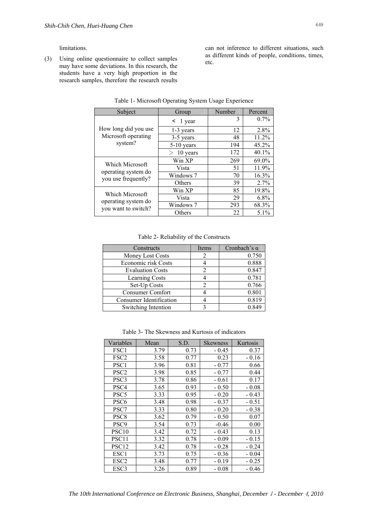limitations.

(3) Using online questionnaire to collect samples may have some deviations. In this research, the students have a very high proportion in the research samples, therefore the research results can not inference to different situations, such as different kinds of people, conditions, times, etc.

| Subject                                                       | Group              | Number | Percent |
|---------------------------------------------------------------|--------------------|--------|---------|
|                                                               | $\leq$ 1 year      | 3      | $0.7\%$ |
| How long did you use                                          | $1-3$ years        | 12     | 2.8%    |
| Microsoft operating                                           | 3-5 years          | 48     | 11.2%   |
| system?                                                       | $5-10$ years       | 194    | 45.2%   |
|                                                               | 10 years<br>$\geq$ | 172    | 40.1%   |
|                                                               | Win XP             | 269    | 69.0%   |
| Which Microsoft                                               | Vista              | 51     | 11.9%   |
| operating system do<br>you use frequently?                    | Windows 7          | 70     | 16.3%   |
|                                                               | Others             | 39     | 2.7%    |
|                                                               | Win XP             | 85     | 19.8%   |
| Which Microsoft<br>operating system do<br>you want to switch? | Vista              | 29     | $6.8\%$ |
|                                                               | Windows 7          | 293    | 68.3%   |
|                                                               | Others             | 22     | $5.1\%$ |

| Table 1- Microsoft Operating System Usage Experience |  |  |  |  |
|------------------------------------------------------|--|--|--|--|
|------------------------------------------------------|--|--|--|--|

## Table 2- Reliability of the Constructs

| Constructs                     | Items | Cronbach's $\alpha$ |
|--------------------------------|-------|---------------------|
| Money Lost Costs               |       | 0.750               |
| Economic risk Costs            |       | 0.888               |
| <b>Evaluation Costs</b>        |       | 0.847               |
| <b>Learning Costs</b>          |       | 0.781               |
| Set-Up Costs                   |       | 0.766               |
| <b>Consumer Comfort</b>        |       | 0.801               |
| <b>Consumer Identification</b> |       | 0.819               |
| Switching Intention            |       | 0.849               |

Table 3- The Skewness and Kurtosis of indicators

| Variables         | Mean | S.D. | <b>Skewness</b> | Kurtosis |
|-------------------|------|------|-----------------|----------|
| FSC1              | 3.79 | 0.73 | $-0.45$         | 0.37     |
| FSC <sub>2</sub>  | 3.58 | 0.77 | 0.23            | $-0.16$  |
| PSC1              | 3.96 | 0.81 | $-0.77$         | 0.66     |
| PSC <sub>2</sub>  | 3.98 | 0.85 | $-0.77$         | 0.44     |
| PSC3              | 3.78 | 0.86 | $-0.61$         | 0.17     |
| PSC4              | 3.65 | 0.93 | $-0.50$         | $-0.08$  |
| PSC <sub>5</sub>  | 3.33 | 0.95 | $-0.20$         | $-0.43$  |
| PSC <sub>6</sub>  | 3.48 | 0.98 | $-0.37$         | $-0.51$  |
| PSC7              | 3.33 | 0.80 | $-0.20$         | $-0.38$  |
| PSC <sub>8</sub>  | 3.62 | 0.79 | $-0.50$         | 0.07     |
| PSC <sub>9</sub>  | 3.54 | 0.73 | $-0.46$         | 0.00     |
| <b>PSC10</b>      | 3.42 | 0.72 | $-0.43$         | 0.13     |
| PSC <sub>11</sub> | 3.32 | 0.78 | $-0.09$         | $-0.15$  |
| PSC <sub>12</sub> | 3.42 | 0.78 | $-0.28$         | $-0.24$  |
| ESC <sub>1</sub>  | 3.73 | 0.75 | $-0.36$         | $-0.04$  |
| ESC <sub>2</sub>  | 3.48 | 0.77 | $-0.19$         | $-0.25$  |
| ESC3              | 3.26 | 0.89 | $-0.08$         | - 0.46   |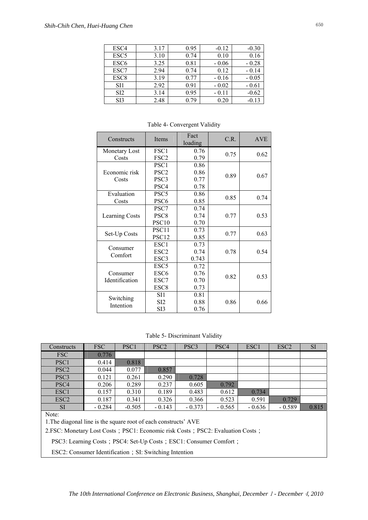| ESC <sub>4</sub><br>3.17<br>0.95 |         |         |
|----------------------------------|---------|---------|
|                                  | $-0.12$ | $-0.30$ |
| ESC <sub>5</sub><br>3.10<br>0.74 | 0.10    | 0.16    |
| ESC <sub>6</sub><br>0.81<br>3.25 | $-0.06$ | $-0.28$ |
| ESC7<br>2.94<br>0.74             | 0.12    | $-0.14$ |
| ESC <sub>8</sub><br>3.19<br>0.77 | $-0.16$ | $-0.05$ |
| 2.92<br>0.91<br>SI1              | $-0.02$ | $-0.61$ |
| SI <sub>2</sub><br>0.95<br>3.14  | $-0.11$ | $-0.62$ |
| SI3<br>2.48<br>0.79              | 0.20    | $-0.13$ |

| Constructs     | Items             | Fact<br>loading | C.R. | <b>AVE</b> |
|----------------|-------------------|-----------------|------|------------|
| Monetary Lost  | FSC1              | 0.76            |      |            |
| Costs          | FSC <sub>2</sub>  | 0.79            | 0.75 | 0.62       |
|                | PSC <sub>1</sub>  | 0.86            |      |            |
| Economic risk  | PSC <sub>2</sub>  | 0.86            |      |            |
| Costs          | PSC3              | 0.77            | 0.89 | 0.67       |
|                | PSC <sub>4</sub>  | 0.78            |      |            |
| Evaluation     | PSC <sub>5</sub>  | 0.86            | 0.85 | 0.74       |
| Costs          | PSC <sub>6</sub>  | 0.85            |      |            |
|                | PSC7              | 0.74            |      |            |
| Learning Costs | PSC <sub>8</sub>  | 0.74            | 0.77 | 0.53       |
|                | PSC <sub>10</sub> | 0.70            |      |            |
|                | PSC <sub>11</sub> | 0.73            | 0.77 | 0.63       |
| Set-Up Costs   | PSC <sub>12</sub> | 0.85            |      |            |
| Consumer       | ESC1              | 0.73            |      |            |
| Comfort        | ESC <sub>2</sub>  | 0.74            | 0.78 | 0.54       |
|                | ESC <sub>3</sub>  | 0.743           |      |            |
|                | ESC <sub>5</sub>  | 0.72            |      |            |
| Consumer       | ESC <sub>6</sub>  | 0.76            | 0.82 | 0.53       |
| Identification | ESC7              | 0.70            |      |            |
|                | ESC <sub>8</sub>  | 0.73            |      |            |
| Switching      | SI1               | 0.81            |      |            |
| Intention      | SI <sub>2</sub>   | 0.88            | 0.86 | 0.66       |
|                | SI3               | 0.76            |      |            |

Table 4- Convergent Validity

## Table 5- Discriminant Validity

| <b>Constructs</b>                                                              | <b>FSC</b> | PSC <sub>1</sub> | PSC <sub>2</sub> | PSC <sub>3</sub> | PSC <sub>4</sub> | ESC <sub>1</sub> | ESC <sub>2</sub> | <b>SI</b> |
|--------------------------------------------------------------------------------|------------|------------------|------------------|------------------|------------------|------------------|------------------|-----------|
| FSC                                                                            | 0.776      |                  |                  |                  |                  |                  |                  |           |
| PSC <sub>1</sub>                                                               | 0.414      | 0.818            |                  |                  |                  |                  |                  |           |
| PSC <sub>2</sub>                                                               | 0.044      | 0.077            | 0.857            |                  |                  |                  |                  |           |
| PSC <sub>3</sub>                                                               | 0.121      | 0.261            | 0.290            | 0.728            |                  |                  |                  |           |
| PSC <sub>4</sub>                                                               | 0.206      | 0.289            | 0.237            | 0.605            | 0.792            |                  |                  |           |
| ESC <sub>1</sub>                                                               | 0.157      | 0.310            | 0.189            | 0.483            | 0.612            | 0.734            |                  |           |
| ESC <sub>2</sub>                                                               | 0.187      | 0.341            | 0.326            | 0.366            | 0.523            | 0.591            | 0.729            |           |
| SI                                                                             | $-0.284$   | $-0.505$         | $-0.143$         | $-0.373$         | $-0.565$         | $-0.636$         | $-0.589$         | 0.815     |
| Note:                                                                          |            |                  |                  |                  |                  |                  |                  |           |
| 1. The diagonal line is the square root of each constructs' AVE                |            |                  |                  |                  |                  |                  |                  |           |
| 2.FSC: Monetary Lost Costs; PSC1: Economic risk Costs; PSC2: Evaluation Costs; |            |                  |                  |                  |                  |                  |                  |           |

PSC3: Learning Costs; PSC4: Set-Up Costs; ESC1: Consumer Comfort;

ESC2: Consumer Identification; SI: Switching Intention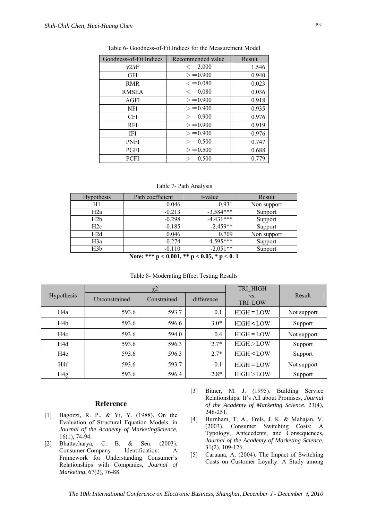| Goodness-of-Fit Indices | Recommended value  | Result |
|-------------------------|--------------------|--------|
| $\chi$ 2/df             | $\epsilon = 3.000$ | 1.546  |
| <b>GFI</b>              | $> = 0.900$        | 0.940  |
| <b>RMR</b>              | $\leq$ = 0.080     | 0.023  |
| <b>RMSEA</b>            | $\epsilon = 0.080$ | 0.036  |
| AGFI                    | $> = 0.900$        | 0.918  |
| NFI                     | $> = 0.900$        | 0.935  |
| <b>CFI</b>              | $> = 0.900$        | 0.976  |
| <b>RFI</b>              | $> = 0.900$        | 0.919  |
| IFI                     | $> = 0.900$        | 0.976  |
| <b>PNFI</b>             | $> = 0.500$        | 0.747  |
| <b>PGFI</b>             | $> = 0.500$        | 0.688  |
| <b>PCFI</b>             | $> = 0.500$        | 0.779  |

Table 6- Goodness-of-Fit Indices for the Measurement Model

Table 7- Path Analysis

| <b>Hypothesis</b>                   | Path coefficient | t-value     | Result      |  |  |
|-------------------------------------|------------------|-------------|-------------|--|--|
| H1                                  | 0.046            | 0.931       | Non support |  |  |
| H2a                                 | $-0.213$         | $-3.584***$ | Support     |  |  |
| H2b                                 | $-0.298$         | $-4.431***$ | Support     |  |  |
| H2c                                 | $-0.185$         | $-2.459**$  | Support     |  |  |
| H2d                                 | 0.046            | 0.709       | Non support |  |  |
| H3a                                 | $-0.274$         | $-4.595***$ | Support     |  |  |
| H3b                                 | $-0.110$         | $-2.051**$  | Support     |  |  |
| $M - 1 - 222$<br>$44 - 0.07 + 0.01$ |                  |             |             |  |  |

**Note: \*\*\* p < 0.001, \*\* p < 0.05, \* p < 0. 1** 

Table 8- Moderating Effect Testing Results

|                 |               | $\gamma$ <sup>2</sup> | TRI HIGH   |                       |             |
|-----------------|---------------|-----------------------|------------|-----------------------|-------------|
| Hypothesis      | Unconstrained | Constrained           | difference | VS.<br><b>TRI LOW</b> | Result      |
| H4a             | 593.6         | 593.7                 | 0.1        | $HIGH = LOW$          | Not support |
| H4 <sub>b</sub> | 593.6         | 596.6                 | $3.0*$     | HIGH < I.OW           | Support     |
| H4c             | 593.6         | 594.0                 | 0.4        | $HIGH = LOW$          | Not support |
| H4d             | 593.6         | 596.3                 | $2.7*$     | HIGH > LOW            | Support     |
| H4e             | 593.6         | 596.3                 | $2.7*$     | HIGH < LOW            | Support     |
| H4f             | 593.6         | 593.7                 | 0.1        | $HIGH = LOW$          | Not support |
| H <sub>4g</sub> | 593.6         | 596.4                 | $2.8*$     | HIGH > LOW            | Support     |

#### **Reference**

- [1] Bagozzi, R. P., & Yi, Y. (1988). On the Evaluation of Structural Equation Models, in *Journal of the Academy of MarketingScience*, 16(1), 74-94.
- [2] Bhattacharya, C. B. & Sen. (2003). Consumer-Company Identification: A Framework for Understanding Consumer's Relationships with Companies, *Journal of Marketing*, 67(2), 76-88.
- [3] Bitner, M. J. (1995). Building Service Relationships: It's All about Promises, *Journal of the Academy of Marketing Science*, 23(4), 246-251.
- [4] Burnham, T. A., Frels, J. K. & Mahajan, V. (2003). Consumer Switching Costs: A Typology, Antecedents, and Consequences, *Journal of the Academy of Marketing Science*, 31(2), 109-126.
- [5] Caruana, A. (2004). The Impact of Switching Costs on Customer Loyalty: A Study among